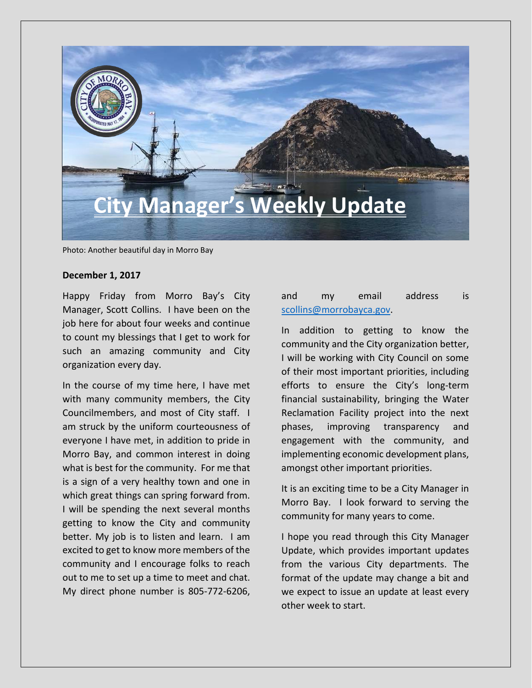

Photo: Another beautiful day in Morro Bay

#### **December 1, 2017**

Happy Friday from Morro Bay's City Manager, Scott Collins. I have been on the job here for about four weeks and continue to count my blessings that I get to work for such an amazing community and City organization every day.

In the course of my time here, I have met with many community members, the City Councilmembers, and most of City staff. I am struck by the uniform courteousness of everyone I have met, in addition to pride in Morro Bay, and common interest in doing what is best for the community. For me that is a sign of a very healthy town and one in which great things can spring forward from. I will be spending the next several months getting to know the City and community better. My job is to listen and learn. I am excited to get to know more members of the community and I encourage folks to reach out to me to set up a time to meet and chat. My direct phone number is 805-772-6206,

### and my email address is [scollins@morrobayca.gov.](mailto:scollins@morrobayca.gov)

In addition to getting to know the community and the City organization better, I will be working with City Council on some of their most important priorities, including efforts to ensure the City's long-term financial sustainability, bringing the Water Reclamation Facility project into the next phases, improving transparency and engagement with the community, and implementing economic development plans, amongst other important priorities.

It is an exciting time to be a City Manager in Morro Bay. I look forward to serving the community for many years to come.

I hope you read through this City Manager Update, which provides important updates from the various City departments. The format of the update may change a bit and we expect to issue an update at least every other week to start.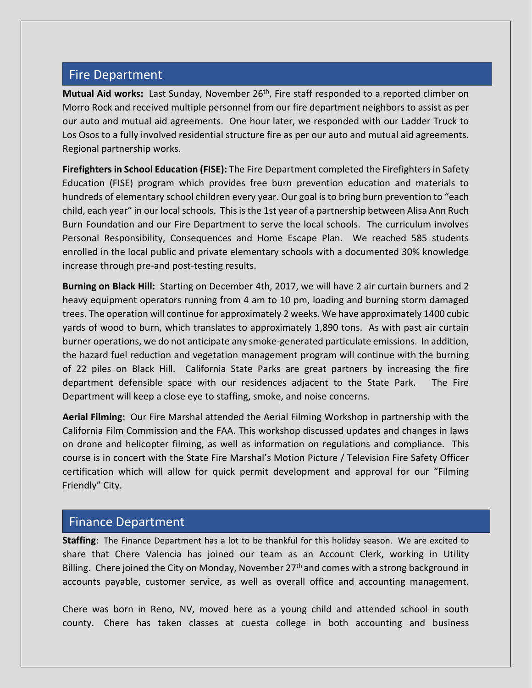## Fire Department

**Mutual Aid works:** Last Sunday, November 26<sup>th</sup>, Fire staff responded to a reported climber on Morro Rock and received multiple personnel from our fire department neighbors to assist as per our auto and mutual aid agreements. One hour later, we responded with our Ladder Truck to Los Osos to a fully involved residential structure fire as per our auto and mutual aid agreements. Regional partnership works.

**Firefighters in School Education (FISE):** The Fire Department completed the Firefighters in Safety Education (FISE) program which provides free burn prevention education and materials to hundreds of elementary school children every year. Our goal is to bring burn prevention to "each child, each year" in our local schools. This is the 1st year of a partnership between Alisa Ann Ruch Burn Foundation and our Fire Department to serve the local schools. The curriculum involves Personal Responsibility, Consequences and Home Escape Plan. We reached 585 students enrolled in the local public and private elementary schools with a documented 30% knowledge increase through pre-and post-testing results.

**Burning on Black Hill:** Starting on December 4th, 2017, we will have 2 air curtain burners and 2 heavy equipment operators running from 4 am to 10 pm, loading and burning storm damaged trees. The operation will continue for approximately 2 weeks. We have approximately 1400 cubic yards of wood to burn, which translates to approximately 1,890 tons. As with past air curtain burner operations, we do not anticipate any smoke-generated particulate emissions. In addition, the hazard fuel reduction and vegetation management program will continue with the burning of 22 piles on Black Hill. California State Parks are great partners by increasing the fire department defensible space with our residences adjacent to the State Park. The Fire Department will keep a close eye to staffing, smoke, and noise concerns.

**Aerial Filming:** Our Fire Marshal attended the Aerial Filming Workshop in partnership with the California Film Commission and the FAA. This workshop discussed updates and changes in laws on drone and helicopter filming, as well as information on regulations and compliance. This course is in concert with the State Fire Marshal's Motion Picture / Television Fire Safety Officer certification which will allow for quick permit development and approval for our "Filming Friendly" City.

### Finance Department

**Staffing**: The Finance Department has a lot to be thankful for this holiday season. We are excited to share that Chere Valencia has joined our team as an Account Clerk, working in Utility Billing. Chere joined the City on Monday, November  $27<sup>th</sup>$  and comes with a strong background in accounts payable, customer service, as well as overall office and accounting management.

Chere was born in Reno, NV, moved here as a young child and attended school in south county. Chere has taken classes at cuesta college in both accounting and business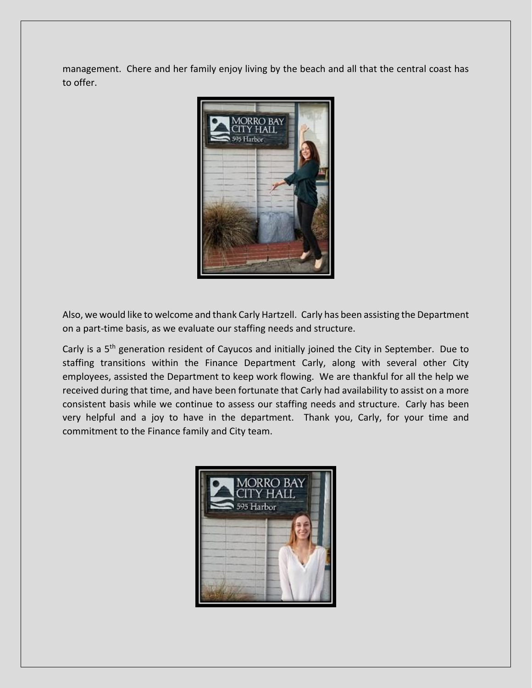management. Chere and her family enjoy living by the beach and all that the central coast has to offer.



Also, we would like to welcome and thank Carly Hartzell. Carly has been assisting the Department on a part-time basis, as we evaluate our staffing needs and structure.

Carly is a 5<sup>th</sup> generation resident of Cayucos and initially joined the City in September. Due to staffing transitions within the Finance Department Carly, along with several other City employees, assisted the Department to keep work flowing. We are thankful for all the help we received during that time, and have been fortunate that Carly had availability to assist on a more consistent basis while we continue to assess our staffing needs and structure. Carly has been very helpful and a joy to have in the department. Thank you, Carly, for your time and commitment to the Finance family and City team.

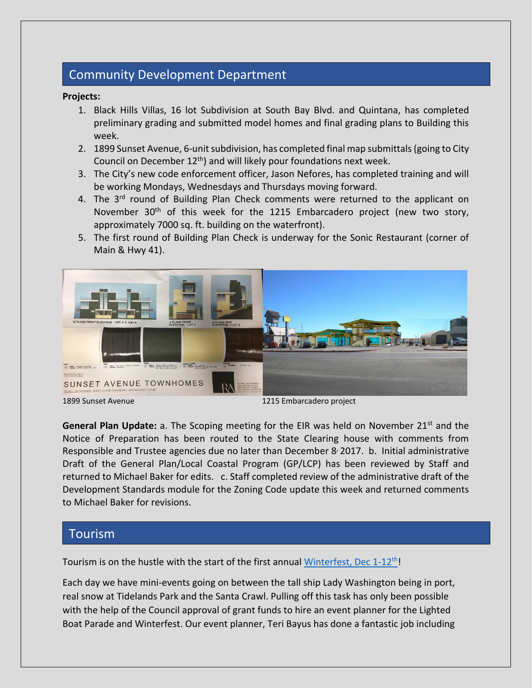# Community Development Department

#### **Projects:**

- 1. Black Hills Villas, 16 lot Subdivision at South Bay Blvd. and Quintana, has completed preliminary grading and submitted model homes and final grading plans to Building this week.
- 2. 1899 Sunset Avenue, 6-unit subdivision, has completed final map submittals (going to City Council on December  $12<sup>th</sup>$ ) and will likely pour foundations next week.
- 3. The City's new code enforcement officer, Jason Nefores, has completed training and will be working Mondays, Wednesdays and Thursdays moving forward.
- 4. The 3<sup>rd</sup> round of Building Plan Check comments were returned to the applicant on November 30<sup>th</sup> of this week for the 1215 Embarcadero project (new two story, approximately 7000 sq. ft. building on the waterfront).
- 5. The first round of Building Plan Check is underway for the Sonic Restaurant (corner of Main & Hwy 41).



1899 Sunset Avenue1215 Embarcadero project

**General Plan Update:** a. The Scoping meeting for the EIR was held on November 21<sup>st</sup> and the Notice of Preparation has been routed to the State Clearing house with comments from Responsible and Trustee agencies due no later than December 8 2017. b. Initial administrative Draft of the General Plan/Local Coastal Program (GP/LCP) has been reviewed by Staff and returned to Michael Baker for edits. c. Staff completed review of the administrative draft of the Development Standards module for the Zoning Code update this week and returned comments to Michael Baker for revisions.

### Tourism

Tourism is on the hustle with the start of the first annual Winterfest, Dec  $1-12$ <sup>th</sup>!

Each day we have mini-events going on between the tall ship Lady Washington being in port, real snow at Tidelands Park and the Santa Crawl. Pulling off this task has only been possible with the help of the Council approval of grant funds to hire an event planner for the Lighted Boat Parade and Winterfest. Our event planner, Teri Bayus has done a fantastic job including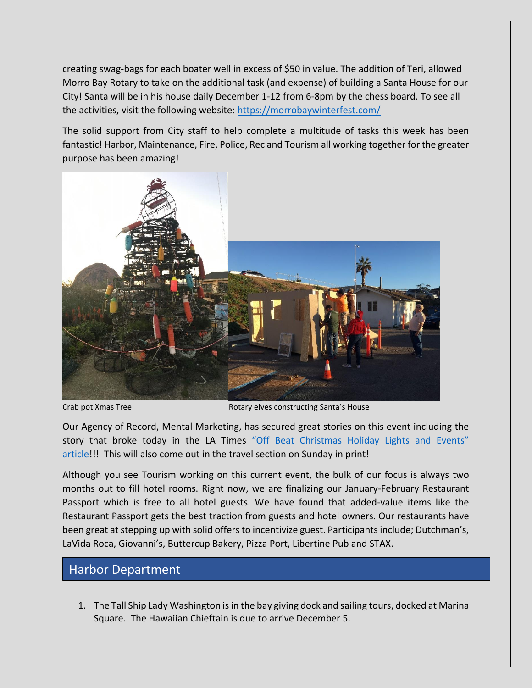creating swag-bags for each boater well in excess of \$50 in value. The addition of Teri, allowed Morro Bay Rotary to take on the additional task (and expense) of building a Santa House for our City! Santa will be in his house daily December 1-12 from 6-8pm by the chess board. To see all the activities, visit the following website:<https://morrobaywinterfest.com/>

The solid support from City staff to help complete a multitude of tasks this week has been fantastic! Harbor, Maintenance, Fire, Police, Rec and Tourism all working together for the greater purpose has been amazing!



Crab pot Xmas Tree **Rotary elves constructing Santa's House** Rotary elves constructing Santa's House

Our Agency of Record, Mental Marketing, has secured great stories on this event including the story that broke today in the LA Times "Off Beat Christmas Holiday Lights and Events" [article!](http://www.latimes.com/travel/la-tr-tip-sheet-offbeat-christmas-holiday-lights-and-events-20171122-htmlstory.html)!! This will also come out in the travel section on Sunday in print!

Although you see Tourism working on this current event, the bulk of our focus is always two months out to fill hotel rooms. Right now, we are finalizing our January-February Restaurant Passport which is free to all hotel guests. We have found that added-value items like the Restaurant Passport gets the best traction from guests and hotel owners. Our restaurants have been great at stepping up with solid offers to incentivize guest. Participants include; Dutchman's, LaVida Roca, Giovanni's, Buttercup Bakery, Pizza Port, Libertine Pub and STAX.

# Harbor Department

1. The Tall Ship Lady Washington is in the bay giving dock and sailing tours, docked at Marina Square. The Hawaiian Chieftain is due to arrive December 5.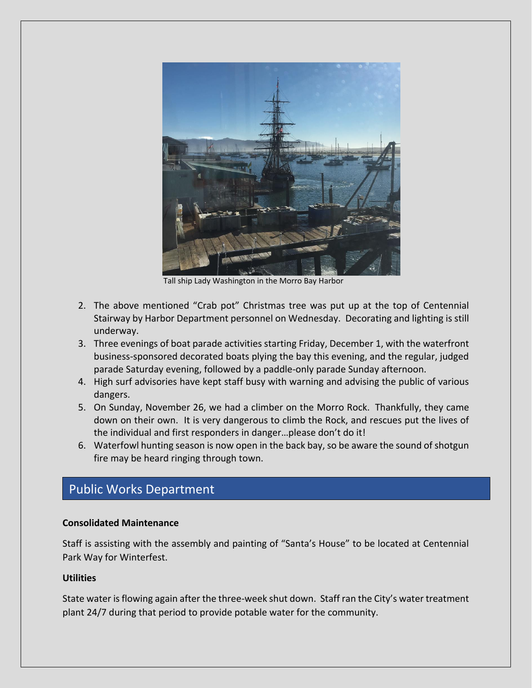

Tall ship Lady Washington in the Morro Bay Harbor

- 2. The above mentioned "Crab pot" Christmas tree was put up at the top of Centennial Stairway by Harbor Department personnel on Wednesday. Decorating and lighting is still underway.
- 3. Three evenings of boat parade activities starting Friday, December 1, with the waterfront business-sponsored decorated boats plying the bay this evening, and the regular, judged parade Saturday evening, followed by a paddle-only parade Sunday afternoon.
- 4. High surf advisories have kept staff busy with warning and advising the public of various dangers.
- 5. On Sunday, November 26, we had a climber on the Morro Rock. Thankfully, they came down on their own. It is very dangerous to climb the Rock, and rescues put the lives of the individual and first responders in danger…please don't do it!
- 6. Waterfowl hunting season is now open in the back bay, so be aware the sound of shotgun fire may be heard ringing through town.

### Public Works Department

#### **Consolidated Maintenance**

Staff is assisting with the assembly and painting of "Santa's House" to be located at Centennial Park Way for Winterfest.

#### **Utilities**

State water is flowing again after the three-week shut down. Staff ran the City's water treatment plant 24/7 during that period to provide potable water for the community.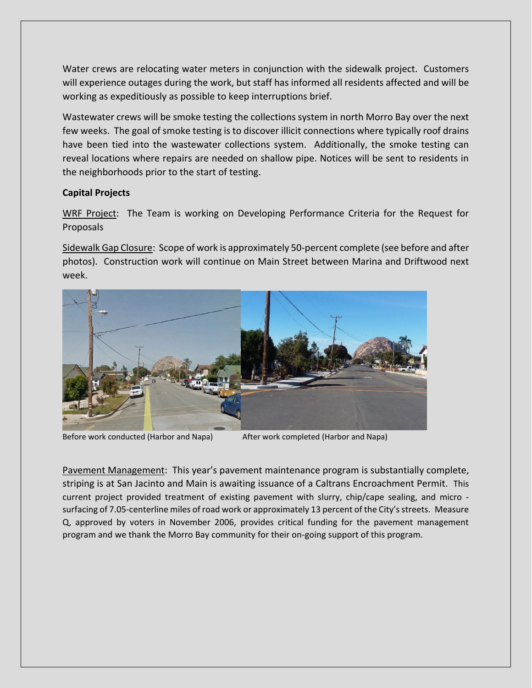Water crews are relocating water meters in conjunction with the sidewalk project. Customers will experience outages during the work, but staff has informed all residents affected and will be working as expeditiously as possible to keep interruptions brief.

Wastewater crews will be smoke testing the collections system in north Morro Bay over the next few weeks. The goal of smoke testing is to discover illicit connections where typically roof drains have been tied into the wastewater collections system. Additionally, the smoke testing can reveal locations where repairs are needed on shallow pipe. Notices will be sent to residents in the neighborhoods prior to the start of testing.

### **Capital Projects**

WRF Project: The Team is working on Developing Performance Criteria for the Request for Proposals

Sidewalk Gap Closure: Scope of work is approximately 50-percent complete (see before and after photos). Construction work will continue on Main Street between Marina and Driftwood next week.



Before work conducted (Harbor and Napa) After work completed (Harbor and Napa)

Pavement Management: This year's pavement maintenance program is substantially complete, striping is at San Jacinto and Main is awaiting issuance of a Caltrans Encroachment Permit. This current project provided treatment of existing pavement with slurry, chip/cape sealing, and micro surfacing of 7.05-centerline miles of road work or approximately 13 percent of the City's streets. Measure Q, approved by voters in November 2006, provides critical funding for the pavement management program and we thank the Morro Bay community for their on-going support of this program.